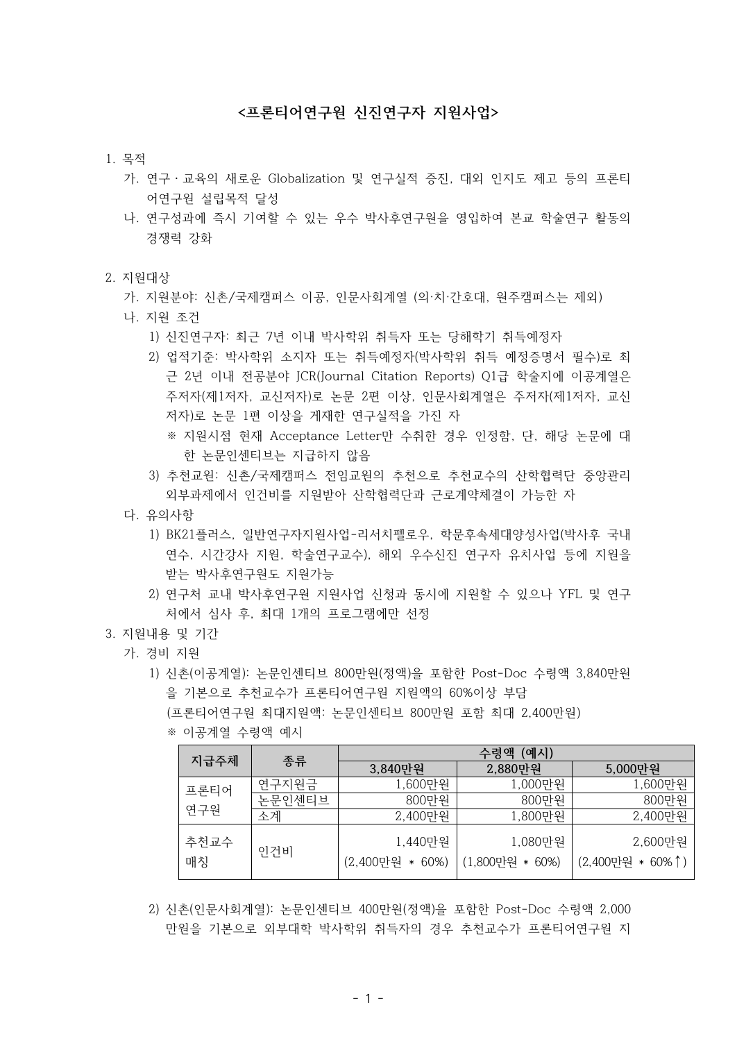## **<프론티어연구원 신진연구자 지원사업>**

#### 1. 목적

- 가. 연구・교육의 새로운 Globalization 및 연구실적 증진, 대외 인지도 제고 등의 프론티 어연구원 설립목적 달성
- 나. 연구성과에 즉시 기여할 수 있는 우수 박사후연구원을 영입하여 본교 학술연구 활동의 경쟁력 강화

#### 2. 지원대상

- 가. 지원분야: 신촌/국제캠퍼스 이공, 인문사회계열 (의·치·간호대, 원주캠퍼스는 제외)
- 나. 지원 조건
	- 1) 신진연구자: 최근 7년 이내 박사학위 취득자 또는 당해학기 취득예정자
	- 2) 업적기준: 박사학위 소지자 또는 취득예정자(박사학위 취득 예정증명서 필수)로 최 근 2년 이내 전공분야 JCR(Journal Citation Reports) Q1급 학술지에 이공계열은 주저자(제1저자, 교신저자)로 논문 2편 이상, 인문사회계열은 주저자(제1저자, 교신 저자)로 논문 1편 이상을 게재한 연구실적을 가진 자
		- ※ 지원시점 현재 Acceptance Letter만 수취한 경우 인정함, 단, 해당 논문에 대 한 논문인센티브는 지급하지 않음
	- 3) 추천교원: 신촌/국제캠퍼스 전임교원의 추천으로 추천교수의 산학협력단 중앙관리 외부과제에서 인건비를 지원받아 산학협력단과 근로계약체결이 가능한 자
- 다. 유의사항
	- 1) BK21플러스, 일반연구자지원사업-리서치펠로우, 학문후속세대양성사업(박사후 국내 연수, 시간강사 지원, 학술연구교수), 해외 우수신진 연구자 유치사업 등에 지원을 받는 박사후연구원도 지원가능
	- 2) 연구처 교내 박사후연구원 지원사업 신청과 동시에 지원할 수 있으나 YFL 및 연구 처에서 심사 후, 최대 1개의 프로그램에만 선정
- 3. 지원내용 및 기간
	- 가. 경비 지원
		- 1) 신촌(이공계열): 논문인센티브 800만원(정액)을 포함한 Post-Doc 수령액 3,840만원 을 기본으로 추천교수가 프론티어연구원 지원액의 60%이상 부담 (프론티어연구원 최대지원액: 논문인센티브 800만원 포함 최대 2,400만원) ※ 이공계열 수령액 예시

|  |      |        | 수령액 (예시)        |                 |                  |  |  |
|--|------|--------|-----------------|-----------------|------------------|--|--|
|  | 지급주체 | 종류     | 3,840만원         | 2,880만원         | 5,000만원          |  |  |
|  | 프론티어 | 연구지원금  | 1,600만원         | 1,000만원         | 1,600만원          |  |  |
|  |      | 논문인센티브 | 800만원           | 800만원           | 800만원            |  |  |
|  | 연구원  | 소계     | 2,400만원         | 1,800만원         | 2,400만원          |  |  |
|  | 추천교수 | 인건비    | 1,440만원         | 1,080만원         | 2,600만원          |  |  |
|  | 매칭   |        | (2,400만원 * 60%) | (1,800만원 * 60%) | (2,400만원 * 60%↑) |  |  |

 2) 신촌(인문사회계열): 논문인센티브 400만원(정액)을 포함한 Post-Doc 수령액 2,000 만원을 기본으로 외부대학 박사학위 취득자의 경우 추천교수가 프론티어연구원 지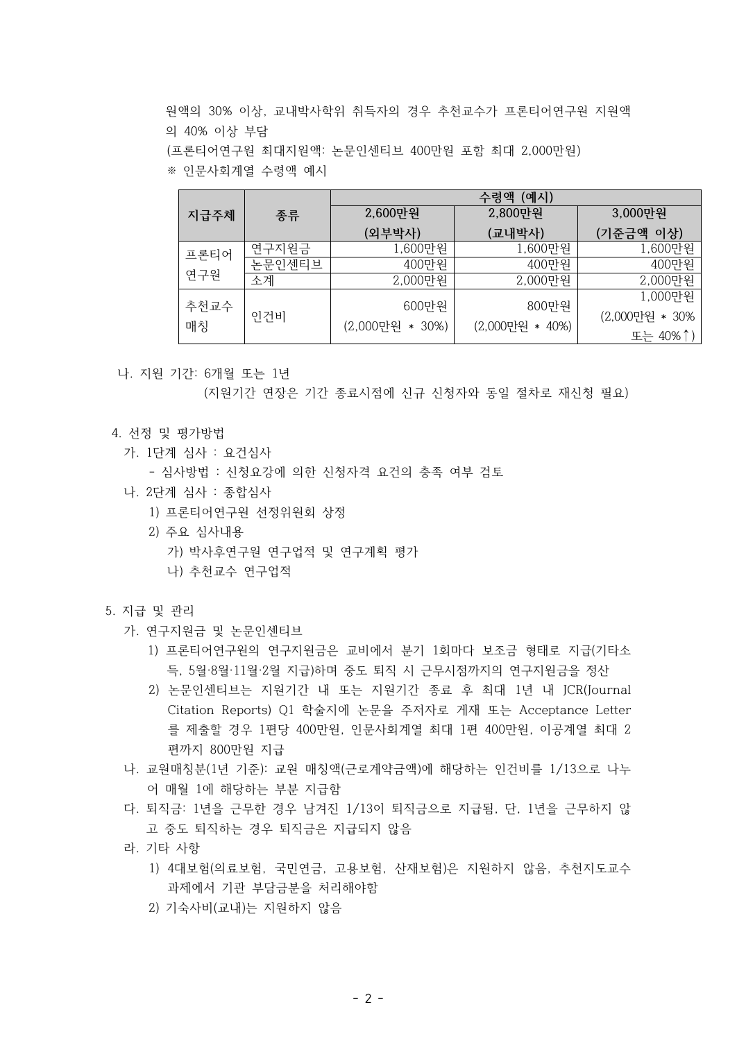원액의 30% 이상, 교내박사학위 취득자의 경우 추천교수가 프론티어연구원 지원액 의 40% 이상 부담 (프론티어연구원 최대지원액: 논문인센티브 400만원 포함 최대 2,000만원) ※ 인문사회계열 수령액 예시

|      |        | 수령액 (예시)        |                 |                |  |  |
|------|--------|-----------------|-----------------|----------------|--|--|
| 지급주체 | 종류     | 2,600만원         | 2,800만원         | 3,000만원        |  |  |
|      |        | (외부박사)          | (교내박사)          | (기준금액 이상)      |  |  |
| 프론티어 | 연구지원금  | 1,600만원         | 1,600만원         | 1,600만원        |  |  |
|      | 논문인센티브 | 400만원           | 400만원           | 400만원          |  |  |
| 연구원  | 소계     | 2,000만원         | 2,000만원         | 2,000만원        |  |  |
|      |        |                 |                 | 1,000만원        |  |  |
| 추천교수 | 인건비    | 600만원           | 800만원           | (2,000만원 * 30% |  |  |
| 매칭   |        | (2,000만원 * 30%) | (2,000만원 * 40%) | 또는 40%↑)       |  |  |

나. 지원 기간: 6개월 또는 1년

(지원기간 연장은 기간 종료시점에 신규 신청자와 동일 절차로 재신청 필요)

- 4. 선정 및 평가방법
	- 가. 1단계 심사 : 요건심사
		- 심사방법 : 신청요강에 의한 신청자격 요건의 충족 여부 검토
	- 나. 2단계 심사 : 종합심사
		- 1) 프론티어연구원 선정위원회 상정
		- 2) 주요 심사내용
			- 가) 박사후연구원 연구업적 및 연구계획 평가
			- 나) 추천교수 연구업적

### 5. 지급 및 관리

- 가. 연구지원금 및 논문인센티브
	- 1) 프론티어연구원의 연구지원금은 교비에서 분기 1회마다 보조금 형태로 지급(기타소 득, 5월·8월·11월·2월 지급)하며 중도 퇴직 시 근무시점까지의 연구지원금을 정산
	- 2) 논문인센티브는 지원기간 내 또는 지원기간 종료 후 최대 1년 내 JCR(Journal Citation Reports) Q1 학술지에 논문을 주저자로 게재 또는 Acceptance Letter 를 제출할 경우 1편당 400만원, 인문사회계열 최대 1편 400만원, 이공계열 최대 2 편까지 800만원 지급
- 나. 교원매칭분(1년 기준): 교원 매칭액(근로계약금액)에 해당하는 인건비를 1/13으로 나누 어 매월 1에 해당하는 부분 지급함
- 다. 퇴직금: 1년을 근무한 경우 남겨진 1/13이 퇴직금으로 지급됨, 단, 1년을 근무하지 않 고 중도 퇴직하는 경우 퇴직금은 지급되지 않음
- 라. 기타 사항
	- 1) 4대보험(의료보험, 국민연금, 고용보험, 산재보험)은 지원하지 않음, 추천지도교수 과제에서 기관 부담금분을 처리해야함
	- 2) 기숙사비(교내)는 지원하지 않음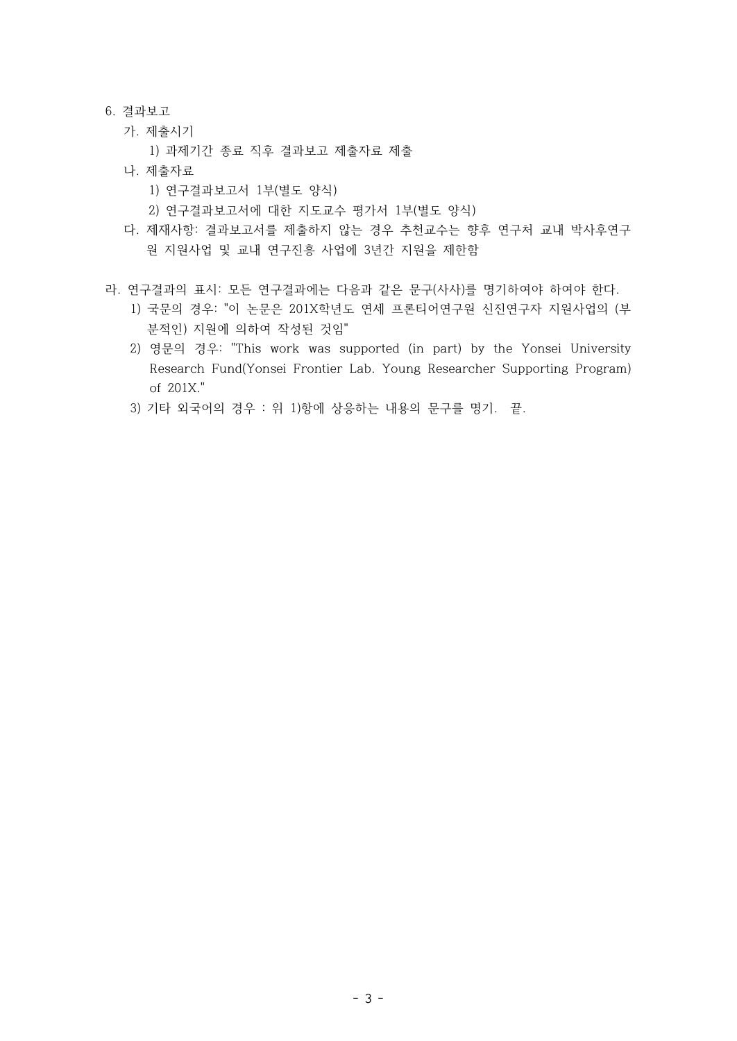#### 6. 결과보고

- 가. 제출시기
	- 1) 과제기간 종료 직후 결과보고 제출자료 제출
- 나. 제출자료
	- 1) 연구결과보고서 1부(별도 양식)
	- 2) 연구결과보고서에 대한 지도교수 평가서 1부(별도 양식)
- 다. 제재사항: 결과보고서를 제출하지 않는 경우 추천교수는 향후 연구처 교내 박사후연구 원 지원사업 및 교내 연구진흥 사업에 3년간 지원을 제한함
- 라. 연구결과의 표시: 모든 연구결과에는 다음과 같은 문구(사사)를 명기하여야 하여야 한다.
	- 1) 국문의 경우: "이 논문은 201X학년도 연세 프론티어연구원 신진연구자 지원사업의 (부 분적인) 지원에 의하여 작성된 것임"
	- 2) 영문의 경우: "This work was supported (in part) by the Yonsei University Research Fund(Yonsei Frontier Lab. Young Researcher Supporting Program) of 201X."
	- 3) 기타 외국어의 경우 : 위 1)항에 상응하는 내용의 문구를 명기. 끝.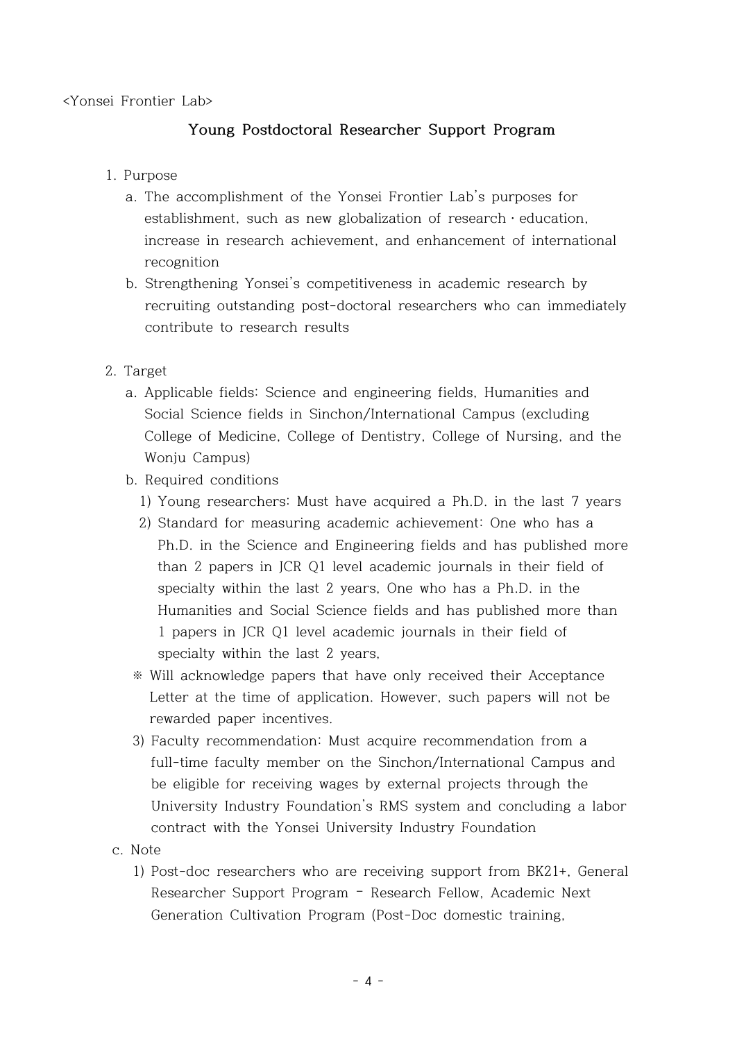## <Yonsei Frontier Lab>

## **Young Postdoctoral Researcher Support Program**

## 1. Purpose

- a. The accomplishment of the Yonsei Frontier Lab's purposes for establishment, such as new globalization of research  $\cdot$  education, increase in research achievement, and enhancement of international recognition
- b. Strengthening Yonsei's competitiveness in academic research by recruiting outstanding post-doctoral researchers who can immediately contribute to research results
- 2. Target
	- a. Applicable fields: Science and engineering fields, Humanities and Social Science fields in Sinchon/International Campus (excluding College of Medicine, College of Dentistry, College of Nursing, and the Wonju Campus)
	- b. Required conditions
		- 1) Young researchers: Must have acquired a Ph.D. in the last 7 years
		- 2) Standard for measuring academic achievement: One who has a Ph.D. in the Science and Engineering fields and has published more than 2 papers in JCR Q1 level academic journals in their field of specialty within the last 2 years, One who has a Ph.D. in the Humanities and Social Science fields and has published more than 1 papers in JCR Q1 level academic journals in their field of specialty within the last 2 years,
		- ※ Will acknowledge papers that have only received their Acceptance Letter at the time of application. However, such papers will not be rewarded paper incentives.
		- 3) Faculty recommendation: Must acquire recommendation from a full-time faculty member on the Sinchon/International Campus and be eligible for receiving wages by external projects through the University Industry Foundation's RMS system and concluding a labor contract with the Yonsei University Industry Foundation
- c. Note
	- 1) Post-doc researchers who are receiving support from BK21+, General Researcher Support Program – Research Fellow, Academic Next Generation Cultivation Program (Post-Doc domestic training,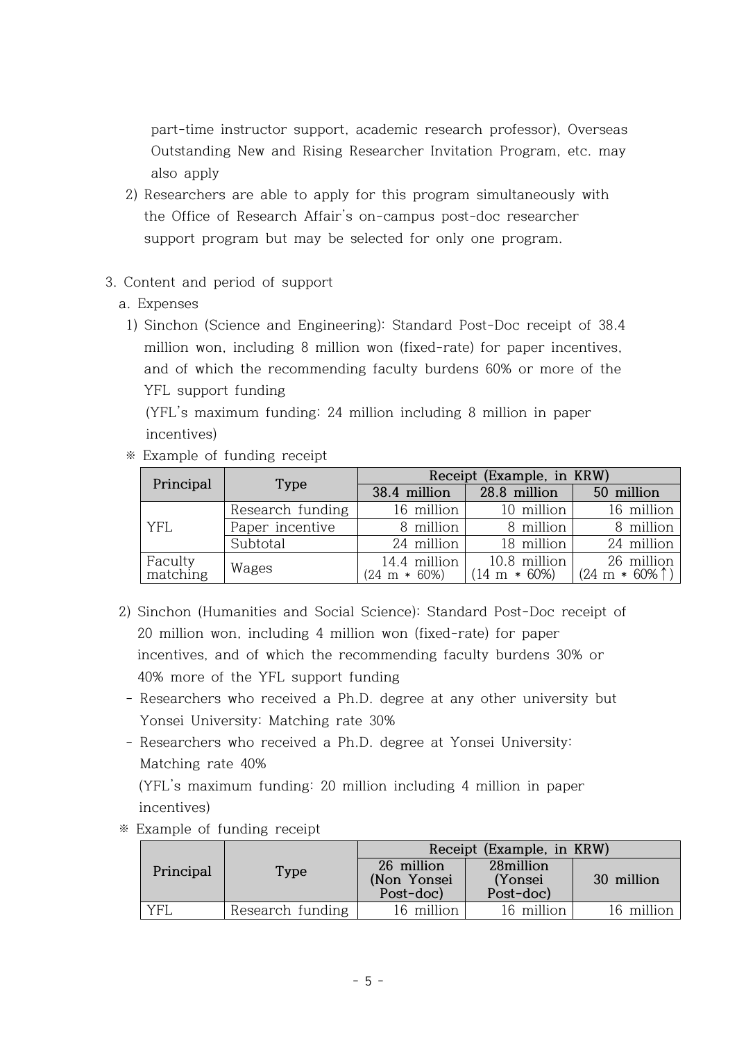part-time instructor support, academic research professor), Overseas Outstanding New and Rising Researcher Invitation Program, etc. may also apply

- 2) Researchers are able to apply for this program simultaneously with the Office of Research Affair's on-campus post-doc researcher support program but may be selected for only one program.
- 3. Content and period of support
	- a. Expenses
		- 1) Sinchon (Science and Engineering): Standard Post-Doc receipt of 38.4 million won, including 8 million won (fixed-rate) for paper incentives, and of which the recommending faculty burdens 60% or more of the YFL support funding

 (YFL's maximum funding: 24 million including 8 million in paper incentives)

※ Example of funding receipt

| Principal           | Type             |                                         | Receipt (Example, in KRW)               |                                        |
|---------------------|------------------|-----------------------------------------|-----------------------------------------|----------------------------------------|
|                     |                  | 38.4 million                            | 28.8 million                            | 50 million                             |
|                     | Research funding | 16 million $ $                          | 10 million                              | 16 million                             |
| <b>YFL</b>          | Paper incentive  | 8 million                               | 8 million                               | 8 million                              |
|                     | Subtotal         | 24 million                              | 18 million                              | 24 million                             |
| Faculty<br>matching | Wages            | 14.4 million<br>$(24 \text{ m} * 60\%)$ | 10.8 million<br>$(14 \text{ m} * 60\%)$ | 26 million<br>$(24 \text{ m} * 60\% )$ |

- 2) Sinchon (Humanities and Social Science): Standard Post-Doc receipt of 20 million won, including 4 million won (fixed-rate) for paper incentives, and of which the recommending faculty burdens 30% or 40% more of the YFL support funding
	- Researchers who received a Ph.D. degree at any other university but Yonsei University: Matching rate 30%
- Researchers who received a Ph.D. degree at Yonsei University: Matching rate 40% (YFL's maximum funding: 20 million including 4 million in paper incentives)
- ※ Example of funding receipt

| Principal |                  | Receipt (Example, in KRW)              |                                    |            |  |
|-----------|------------------|----------------------------------------|------------------------------------|------------|--|
|           | <b>Type</b>      | 26 million<br>(Non Yonsei<br>Post-doc) | 28million<br>(Yonsei)<br>Post-doc) | 30 million |  |
| yfi       | Research funding | 16 million                             | 16 million                         | 16 million |  |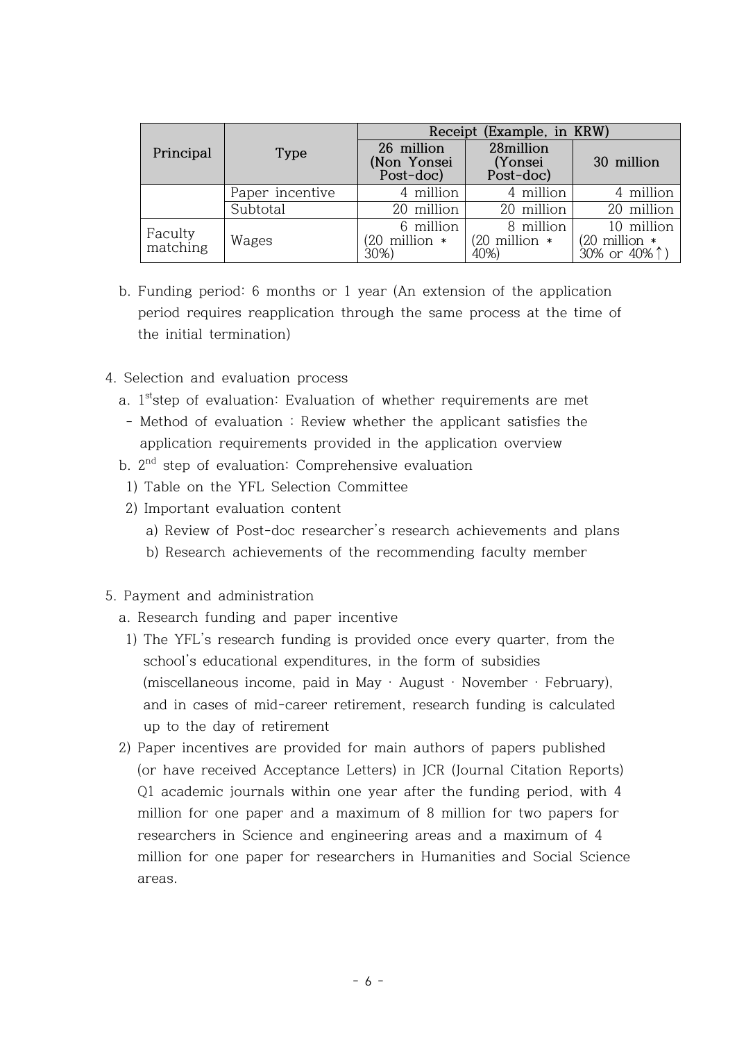|                     |                 | Receipt (Example, in KRW)              |                                    |                                                       |  |
|---------------------|-----------------|----------------------------------------|------------------------------------|-------------------------------------------------------|--|
| Principal           | Type            | 26 million<br>(Non Yonsei<br>Post-doc) | 28million<br>(Yonsei)<br>Post-doc) | 30 million                                            |  |
|                     | Paper incentive | 4 million                              | 4 million                          | 4 million                                             |  |
|                     | Subtotal        | 20 million                             | 20 million                         | 20 million                                            |  |
| Faculty<br>matching | Wages           | 6 million<br>20 million *<br>30%)      | 8 million<br>(20 million *<br>40%) | 10 million<br>$(20 \text{ million}$ *<br>30% or 40% 1 |  |

- b. Funding period: 6 months or 1 year (An extension of the application period requires reapplication through the same process at the time of the initial termination)
- 4. Selection and evaluation process
- a. 1<sup>st</sup>step of evaluation: Evaluation of whether requirements are met
	- Method of evaluation : Review whether the applicant satisfies the application requirements provided in the application overview
- b. 2 nd step of evaluation: Comprehensive evaluation
	- 1) Table on the YFL Selection Committee
	- 2) Important evaluation content
		- a) Review of Post-doc researcher's research achievements and plans
		- b) Research achievements of the recommending faculty member
- 5. Payment and administration
	- a. Research funding and paper incentive
	- 1) The YFL's research funding is provided once every quarter, from the school's educational expenditures, in the form of subsidies (miscellaneous income, paid in May · August · November · February), and in cases of mid-career retirement, research funding is calculated up to the day of retirement
	- 2) Paper incentives are provided for main authors of papers published (or have received Acceptance Letters) in JCR (Journal Citation Reports) Q1 academic journals within one year after the funding period, with 4 million for one paper and a maximum of 8 million for two papers for researchers in Science and engineering areas and a maximum of 4 million for one paper for researchers in Humanities and Social Science areas.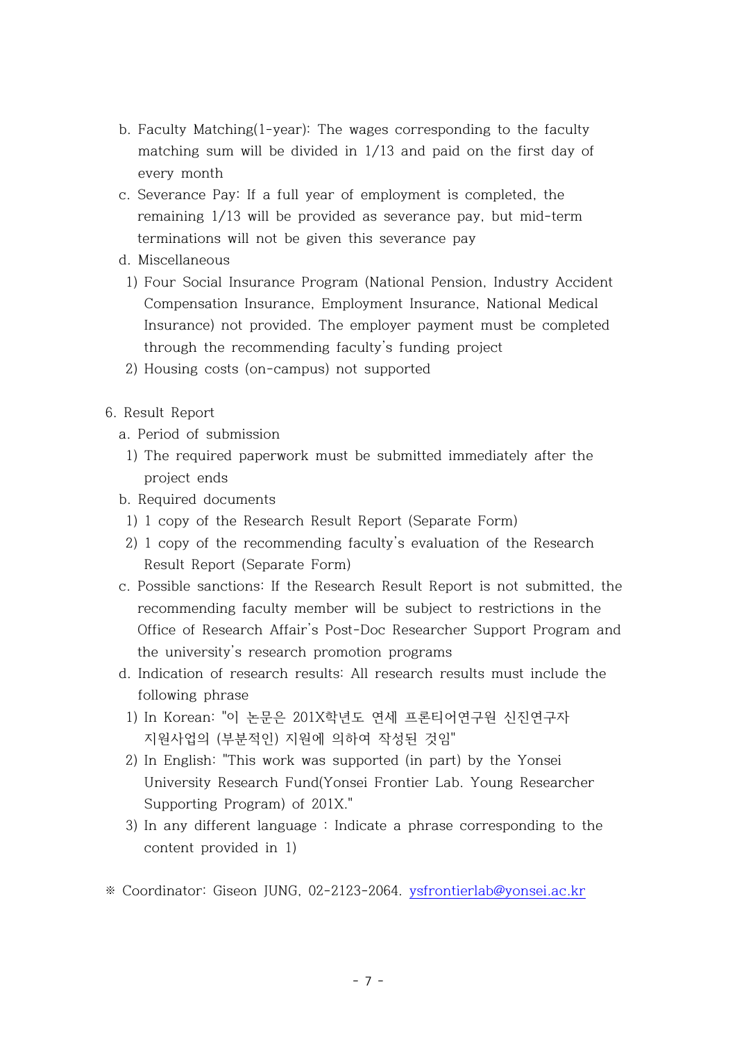- b. Faculty Matching(1-year): The wages corresponding to the faculty matching sum will be divided in 1/13 and paid on the first day of every month
- c. Severance Pay: If a full year of employment is completed, the remaining 1/13 will be provided as severance pay, but mid-term terminations will not be given this severance pay
- d. Miscellaneous
	- 1) Four Social Insurance Program (National Pension, Industry Accident Compensation Insurance, Employment Insurance, National Medical Insurance) not provided. The employer payment must be completed through the recommending faculty's funding project
	- 2) Housing costs (on-campus) not supported
- 6. Result Report
	- a. Period of submission
	- 1) The required paperwork must be submitted immediately after the project ends
	- b. Required documents
	- 1) 1 copy of the Research Result Report (Separate Form)
	- 2) 1 copy of the recommending faculty's evaluation of the Research Result Report (Separate Form)
	- c. Possible sanctions: If the Research Result Report is not submitted, the recommending faculty member will be subject to restrictions in the Office of Research Affair's Post-Doc Researcher Support Program and the university's research promotion programs
	- d. Indication of research results: All research results must include the following phrase
		- 1) In Korean: "이 논문은 201X학년도 연세 프론티어연구원 신진연구자 지원사업의 (부분적인) 지원에 의하여 작성된 것임"
		- 2) In English: "This work was supported (in part) by the Yonsei University Research Fund(Yonsei Frontier Lab. Young Researcher Supporting Program) of 201X."
		- 3) In any different language : Indicate a phrase corresponding to the content provided in 1)
- ※ Coordinator: Giseon JUNG, 02-2123-2064. ysfrontierlab@yonsei.ac.kr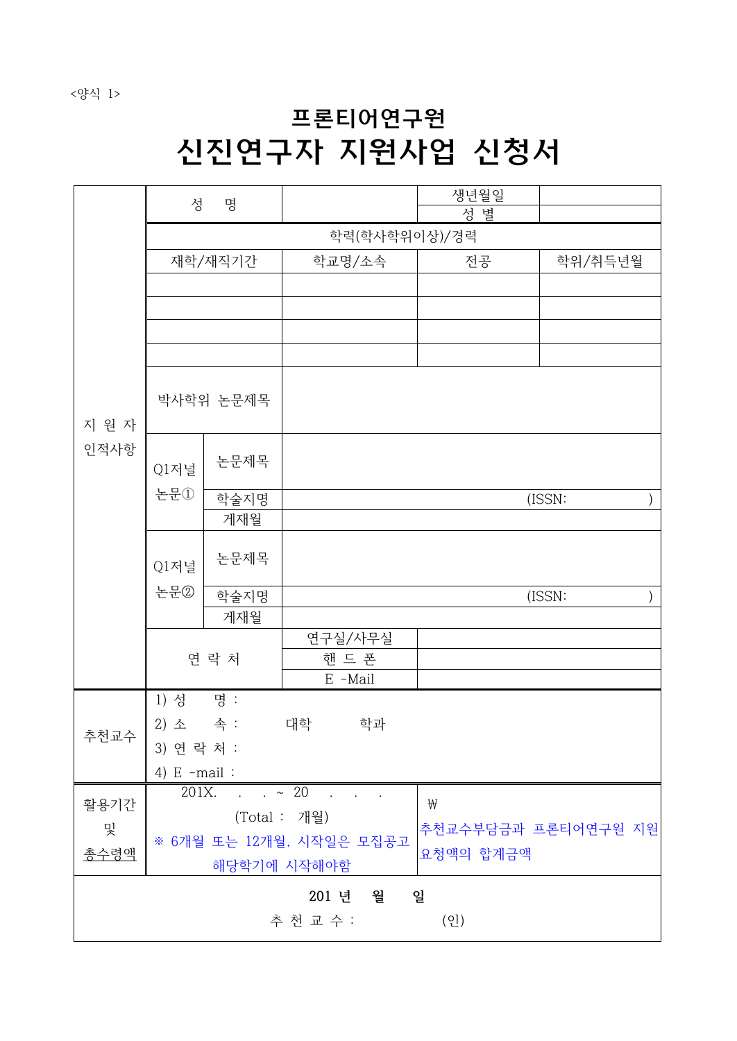<양식 1>

# 프론티어연구원 신진연구자 지원사업 신청서

|       | 성                | 명       |                               | 생년월일                |         |
|-------|------------------|---------|-------------------------------|---------------------|---------|
|       |                  |         |                               | 성 별                 |         |
|       |                  |         | 학력(학사학위이상)/경력                 |                     |         |
|       |                  | 재학/재직기간 | 학교명/소속                        | 전공                  | 학위/취득년월 |
|       |                  |         |                               |                     |         |
|       |                  |         |                               |                     |         |
|       |                  |         |                               |                     |         |
|       |                  |         |                               |                     |         |
| 지 원 자 | 박사학위 논문제목        |         |                               |                     |         |
| 인적사항  | Q1저널             | 논문제목    |                               |                     |         |
|       | 논문①              | 학술지명    |                               |                     | (ISSN:  |
|       |                  | 게재월     |                               |                     |         |
|       | Q1저널<br>논문②      | 논문제목    |                               |                     |         |
|       |                  | 학술지명    |                               |                     | (ISSN:  |
|       |                  | 게재월     |                               |                     |         |
|       |                  |         | 연구실/사무실                       |                     |         |
|       |                  | 연 락 처   | 핸 드 폰                         |                     |         |
|       |                  |         | E -Mail                       |                     |         |
|       | 1) 성             | 명 :     |                               |                     |         |
| 추천교수  | 2) 소<br>3) 연락처 : | 속 :     | 대학<br>학과                      |                     |         |
|       |                  |         |                               |                     |         |
|       | 4) $E$ -mail:    |         | $201X. \t\t x 20. \t\t x 20.$ |                     |         |
| 활용기간  |                  |         | (Total : 개월)                  | ₩                   |         |
| 및     |                  |         | ※ 6개월 또는 12개월, 시작일은 모집공고      | 추천교수부담금과 프론티어연구원 지원 |         |
| 총수령액  |                  |         | 해당학기에 시작해야함                   | 요청액의 합계금액           |         |
|       |                  |         | 월<br>201 년                    | 일                   |         |
|       |                  |         | 추 천 교 수 :                     | (2)                 |         |
|       |                  |         |                               |                     |         |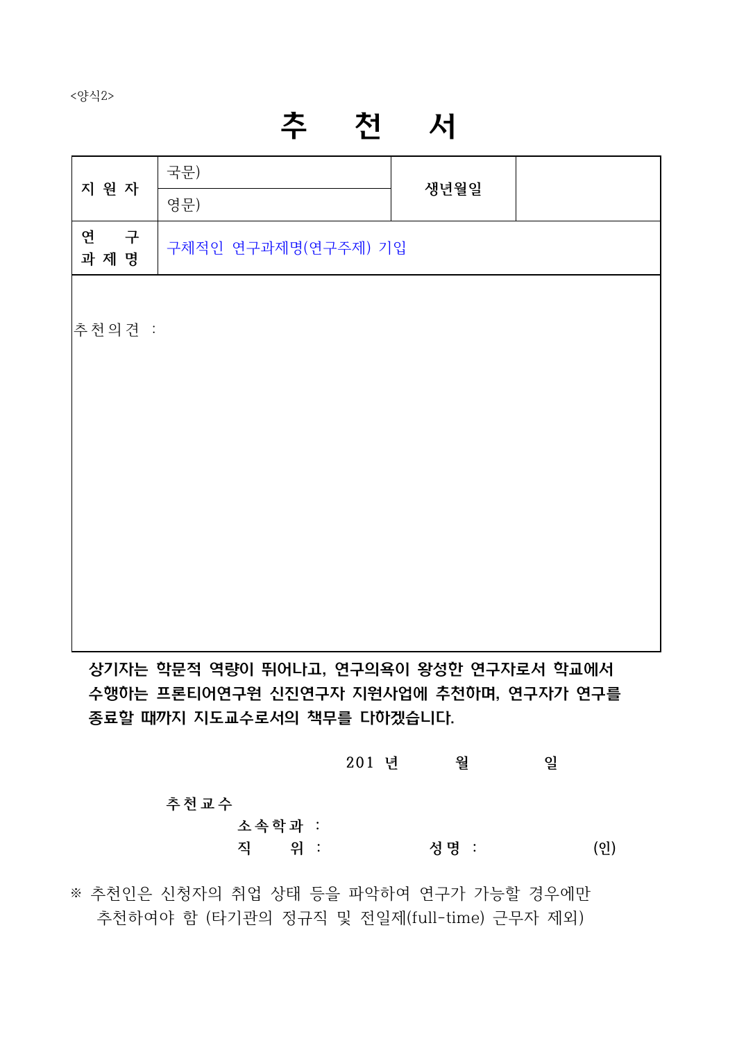<양식2>

# 추 천 서

| 지 원 자           | 국문)                                     | 생년월일 |  |
|-----------------|-----------------------------------------|------|--|
|                 | 영문)                                     |      |  |
| 연<br>구<br>과 제 명 | 구체적인 연구과제명(연구주제) 기입                     |      |  |
|                 |                                         |      |  |
| 추천의견 :          |                                         |      |  |
|                 |                                         |      |  |
|                 |                                         |      |  |
|                 |                                         |      |  |
|                 |                                         |      |  |
|                 |                                         |      |  |
|                 |                                         |      |  |
|                 |                                         |      |  |
|                 |                                         |      |  |
|                 |                                         |      |  |
|                 | 상기자는 학문적 역량이 뛰어나고, 연구의욕이 왕성한 연구자로서 학교에서 |      |  |

수행하는 프론티어연구원 신진연구자 지원사업에 추천하며, 연구자가 연구를 상기사는 악문석 역량이 뛰어나고, 연구의욕이 왕성안 연구사로서 악교에서<br>수행하는 프론티어연구원 신진연구자 지원사업에 추천하며, 연구자가 연구를<br>종료할 때까지 지도교수로서의 책무를 다하겠습니다.<br>201 년 <sup>일</sup>

종료할 때까지 지도교수로서의 책무를 다하겠습니다.  **추 천 교 수 소 속 학 과 :** 201 년 월 일<br>추천교수<br>소속학과 :<br>직 위 : 성명 : (인)

※ 추천인은 신청자의 취업 상태 등을 파악하여 연구가 가능할 경우에만 추천하여야 함 (타기관의 정규직 및 전일제(full-time) 근무자 제외)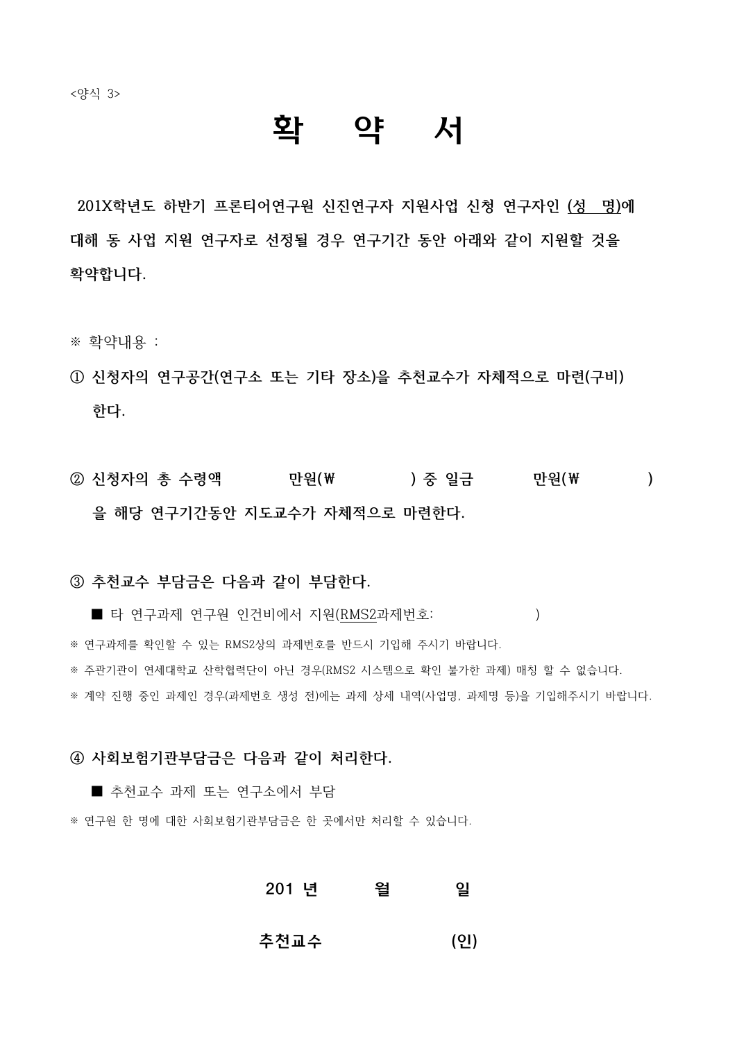## 확 약 서

**201X학년도 하반기 프론티어연구원 신진연구자 지원사업 신청 연구자인 (성 명)에 대해 동 사업 지원 연구자로 선정될 경우 연구기간 동안 아래와 같이 지원할 것을 확약합니다.**

- ※ 확약내용 :
- **① 신청자의 연구공간(연구소 또는 기타 장소)을 추천교수가 자체적으로 마련(구비) 한다.**
- **② 신청자의 총 수령액 만원(₩ ) 중 일금 만원(₩ )** 을 해당 연구기간동안 지도교수가 자체적으로 마련한다.<br><br>③ 추천교수 부담금은 다음과 같이 부담한다.

■ 타 연구과제 연구원 인건비에서 지원(RMS2과제번호: ) ※ 연구과제를 확인할 수 있는 RMS2상의 과제번호를 반드시 기입해 주시기 바랍니다.<br>※ 주관기관이 연세대학교 산학협력단이 아닌 경우(RMS2 시스템으로 확인 불가한 과제) 매칭 할 수 없습니다. ※ 계약 진행 중인 과제인 경우(과제번호 생성 전)에는 과제 상세 내역(사업명, 과제명 등)을 기입해주시기 바랍니다.

## **④ 사회보험기관부담금은 다음과 같이 처리한다.**

■ 추천교수 과제 또는 연구소에서 부담

※ 연구원 한 명에 대한 사회보험기관부담금은 한 곳에서만 처리할 수 있습니다.

## 201 년 월 일

추천교수 (인)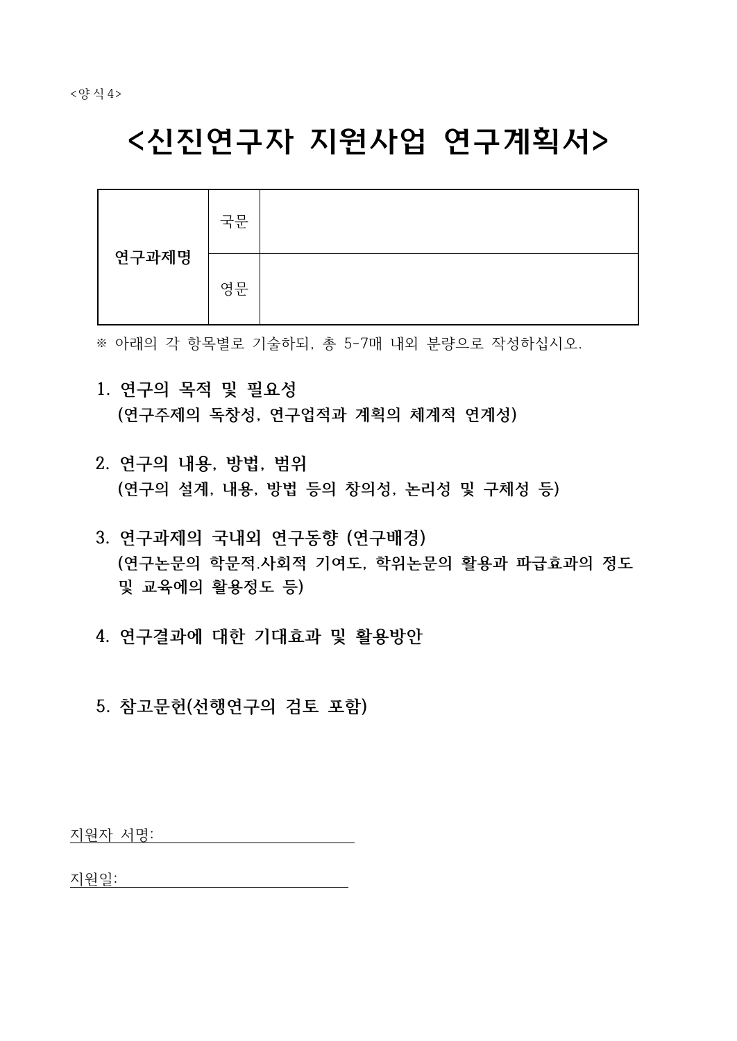# <신진연구자 지원사업 연구계획서>

|       | 국문 |  |
|-------|----|--|
| 연구과제명 | 영문 |  |

※ 아래의 각 항목별로 기술하되, 총 5-7매 내외 분량으로 작성하십시오.

- **1. 연구의 목적 및 필요성 (연구주제의 독창성, 연구업적과 계획의 체계적 연계성)**
- **2. 연구의 내용, 방법, 범위 (연구의 설계, 내용, 방법 등의 창의성, 논리성 및 구체성 등)**
- **3. 연구과제의 국내외 연구동향 (연구배경) (연구논문의 학문적․사회적 기여도, 학위논문의 활용과 파급효과의 정도 및 교육에의 활용정도 등)**
- **4. 연구결과에 대한 기대효과 및 활용방안**
- **5. 참고문헌(선행연구의 검토 포함)**

지원자 서명:

지원일: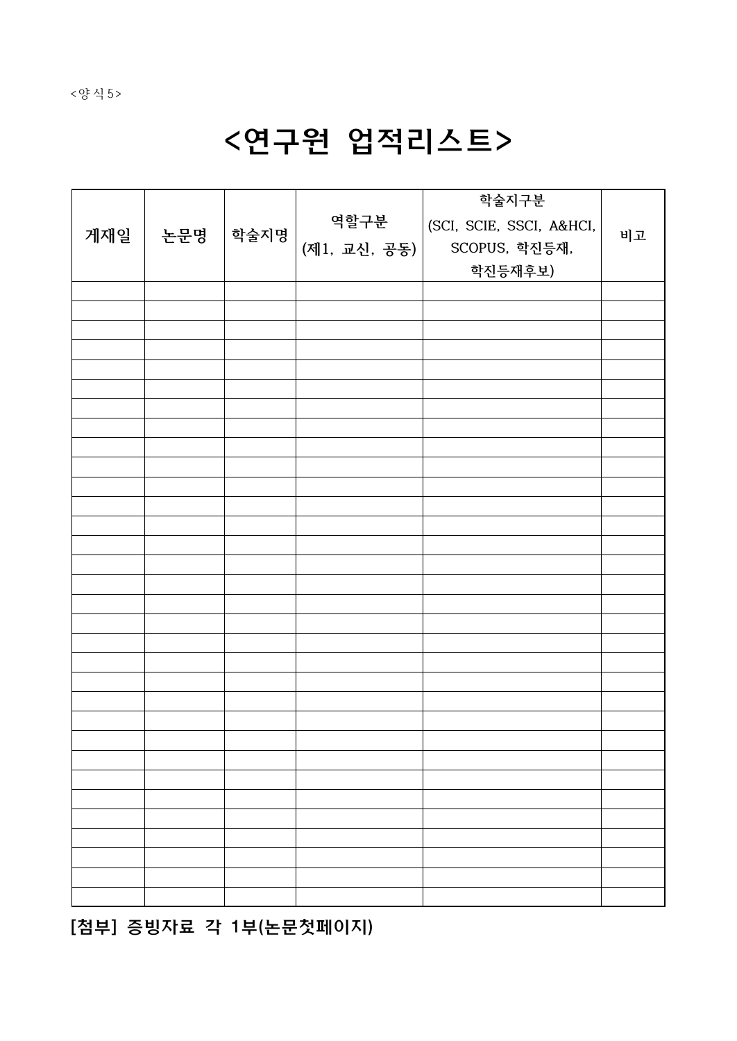# <연구원 업적리스트>

| 게재일 | │ 논문명 | 학술지명 | 역할구분<br>(제1, 교신, 공동) | 학술지구분<br>(SCI, SCIE, SSCI, A&HCI,<br>SCOPUS, 학진등재,<br>학진등재후보) | 비고 |  |
|-----|-------|------|----------------------|---------------------------------------------------------------|----|--|
|     |       |      |                      |                                                               |    |  |
|     |       |      |                      |                                                               |    |  |
|     |       |      |                      |                                                               |    |  |
|     |       |      |                      |                                                               |    |  |
|     |       |      |                      |                                                               |    |  |
|     |       |      |                      |                                                               |    |  |
|     |       |      |                      |                                                               |    |  |
|     |       |      |                      |                                                               |    |  |
|     |       |      |                      |                                                               |    |  |
|     |       |      |                      |                                                               |    |  |
|     |       |      |                      |                                                               |    |  |
|     |       |      |                      |                                                               |    |  |
|     |       |      |                      |                                                               |    |  |
|     |       |      |                      |                                                               |    |  |
|     |       |      |                      |                                                               |    |  |
|     |       |      |                      |                                                               |    |  |
|     |       |      |                      |                                                               |    |  |
|     |       |      |                      |                                                               |    |  |
|     |       |      |                      |                                                               |    |  |
|     |       |      |                      |                                                               |    |  |
|     |       |      |                      |                                                               |    |  |
|     |       |      |                      |                                                               |    |  |
|     |       |      |                      |                                                               |    |  |
|     |       |      |                      |                                                               |    |  |
|     |       |      |                      |                                                               |    |  |
|     |       |      |                      |                                                               |    |  |
|     |       |      |                      |                                                               |    |  |
|     |       |      |                      |                                                               |    |  |

[첨부] 증빙자료 각 1부(논문첫페이지)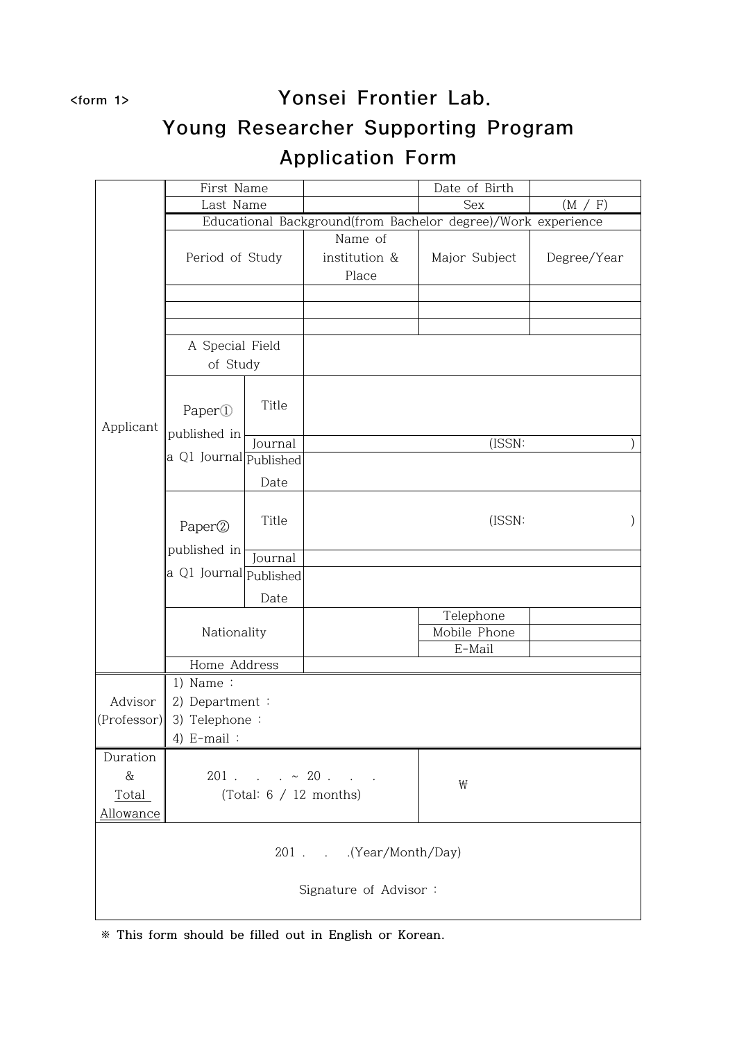## <form 1> Yonsei Frontier Lab. Young Researcher Supporting Program Application Form

|             | First Name             |                          |                                                              | Date of Birth |             |
|-------------|------------------------|--------------------------|--------------------------------------------------------------|---------------|-------------|
|             | Last Name              |                          |                                                              | Sex           | F)<br>(M    |
|             |                        |                          | Educational Background(from Bachelor degree)/Work experience |               |             |
|             |                        |                          | Name of                                                      |               |             |
|             | Period of Study        |                          | institution &                                                | Major Subject | Degree/Year |
|             |                        |                          | Place                                                        |               |             |
|             |                        |                          |                                                              |               |             |
|             |                        |                          |                                                              |               |             |
|             |                        |                          |                                                              |               |             |
|             | A Special Field        |                          |                                                              |               |             |
|             | of Study               |                          |                                                              |               |             |
|             |                        |                          |                                                              |               |             |
|             | Paper <sup>1</sup>     | Title                    |                                                              |               |             |
| Applicant   |                        |                          |                                                              |               |             |
|             | published in           | Journal                  |                                                              | (ISSN:        |             |
|             | a Q1 Journal Published |                          |                                                              |               |             |
|             |                        | Date                     |                                                              |               |             |
|             |                        |                          |                                                              |               |             |
|             |                        | Title                    |                                                              | (ISSN:        |             |
|             | Paper <sup>2</sup>     |                          |                                                              |               |             |
|             | published in           | Journal                  |                                                              |               |             |
|             | a Q1 Journal Published |                          |                                                              |               |             |
|             |                        | Date                     |                                                              |               |             |
|             |                        |                          |                                                              | Telephone     |             |
|             | Nationality            |                          |                                                              | Mobile Phone  |             |
|             |                        |                          |                                                              | E-Mail        |             |
|             | Home Address           |                          |                                                              |               |             |
|             | $1)$ Name:             |                          |                                                              |               |             |
| Advisor     | 2) Department :        |                          |                                                              |               |             |
| (Professor) | 3) Telephone:          |                          |                                                              |               |             |
|             | 4) $E$ -mail:          |                          |                                                              |               |             |
| Duration    |                        |                          |                                                              |               |             |
| $\&$        |                        |                          | $201$ $\sim 20$                                              | ₩             |             |
| Total       |                        | (Total: $6 / 12$ months) |                                                              |               |             |
| Allowance   |                        |                          |                                                              |               |             |
|             |                        |                          |                                                              |               |             |
|             |                        |                          | 201 (Year/Month/Day)                                         |               |             |
|             |                        |                          |                                                              |               |             |
|             |                        |                          | Signature of Advisor:                                        |               |             |
|             |                        |                          |                                                              |               |             |

**※ This form should be filled out in English or Korean.**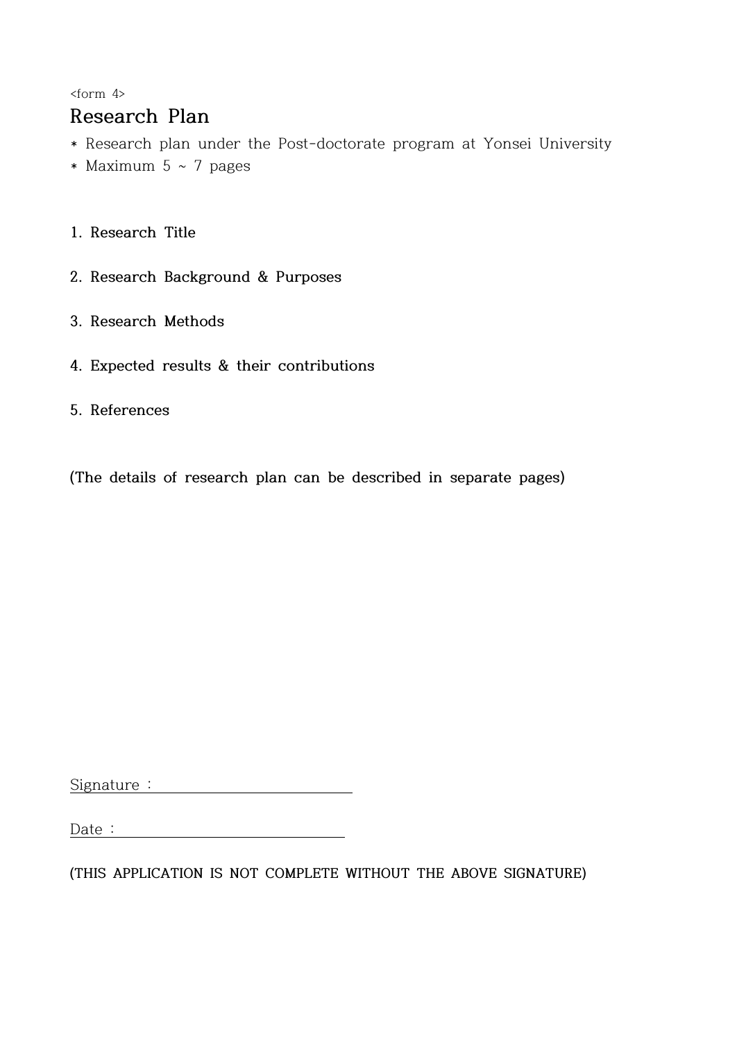<form 4>

## **Research Plan**

- \* Research plan under the Post-doctorate program at Yonsei University
- \* Maximum  $5 \sim 7$  pages
- **1. Research Title**
- **2. Research Background & Purposes**
- **3. Research Methods**
- **4. Expected results & their contributions**
- **5. References**

**(The details of research plan can be described in separate pages)**

Signature :

**(THIS APPLICATION IS NOT COMPLETE WITHOUT THE ABOVE SIGNATURE)**